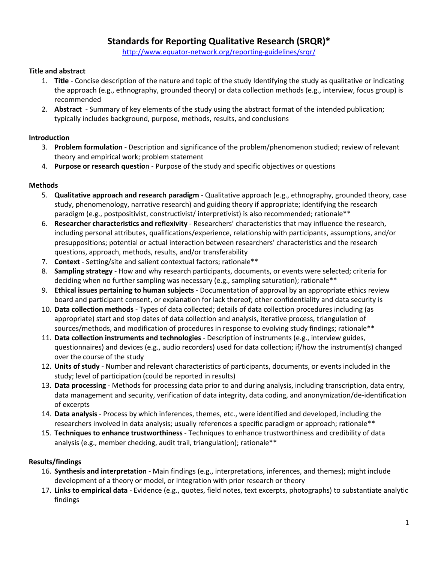# **Standards for Reporting Qualitative Research (SRQR)\***

<http://www.equator-network.org/reporting-guidelines/srqr/>

### **Title and abstract**

- 1. **Title** Concise description of the nature and topic of the study Identifying the study as qualitative or indicating the approach (e.g., ethnography, grounded theory) or data collection methods (e.g., interview, focus group) is recommended
- 2. **Abstract** Summary of key elements of the study using the abstract format of the intended publication; typically includes background, purpose, methods, results, and conclusions

# **Introduction**

- 3. **Problem formulation** Description and significance of the problem/phenomenon studied; review of relevant theory and empirical work; problem statement
- 4. **Purpose or research questio**n Purpose of the study and specific objectives or questions

# **Methods**

- 5. **Qualitative approach and research paradigm** Qualitative approach (e.g., ethnography, grounded theory, case study, phenomenology, narrative research) and guiding theory if appropriate; identifying the research paradigm (e.g., postpositivist, constructivist/ interpretivist) is also recommended; rationale\*\*
- 6. **Researcher characteristics and reflexivity**  Researchers' characteristics that may influence the research, including personal attributes, qualifications/experience, relationship with participants, assumptions, and/or presuppositions; potential or actual interaction between researchers' characteristics and the research questions, approach, methods, results, and/or transferability
- 7. **Context** Setting/site and salient contextual factors; rationale\*\*
- 8. **Sampling strategy** How and why research participants, documents, or events were selected; criteria for deciding when no further sampling was necessary (e.g., sampling saturation); rationale\*\*
- 9. **Ethical issues pertaining to human subjects**  Documentation of approval by an appropriate ethics review board and participant consent, or explanation for lack thereof; other confidentiality and data security is
- 10. **Data collection methods** Types of data collected; details of data collection procedures including (as appropriate) start and stop dates of data collection and analysis, iterative process, triangulation of sources/methods, and modification of procedures in response to evolving study findings; rationale\*\*
- 11. **Data collection instruments and technologies** Description of instruments (e.g., interview guides, questionnaires) and devices (e.g., audio recorders) used for data collection; if/how the instrument(s) changed over the course of the study
- 12. **Units of study** Number and relevant characteristics of participants, documents, or events included in the study; level of participation (could be reported in results)
- 13. **Data processing** Methods for processing data prior to and during analysis, including transcription, data entry, data management and security, verification of data integrity, data coding, and anonymization/de-identification of excerpts
- 14. **Data analysis** Process by which inferences, themes, etc., were identified and developed, including the researchers involved in data analysis; usually references a specific paradigm or approach; rationale\*\*
- 15. **Techniques to enhance trustworthiness** Techniques to enhance trustworthiness and credibility of data analysis (e.g., member checking, audit trail, triangulation); rationale\*\*

# **Results/findings**

- 16. **Synthesis and interpretation** Main findings (e.g., interpretations, inferences, and themes); might include development of a theory or model, or integration with prior research or theory
- 17. **Links to empirical data**  Evidence (e.g., quotes, field notes, text excerpts, photographs) to substantiate analytic findings